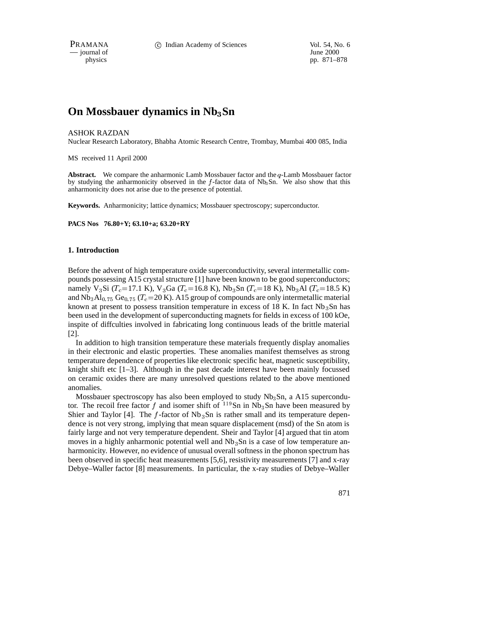$-$  journal of

physics pp. 871–878

# **On Mossbauer dynamics in Nb**3**Sn**

#### ASHOK RAZDAN

Nuclear Research Laboratory, Bhabha Atomic Research Centre, Trombay, Mumbai 400 085, India

MS received 11 April 2000

**Abstract.** We compare the anharmonic Lamb Mossbauer factor and the <sup>q</sup>-Lamb Mossbauer factor by studying the anharmonicity observed in the  $f$ -factor data of Nb<sub>3</sub>Sn. We also show that this anharmonicity does not arise due to the presence of potential.

**Keywords.** Anharmonicity; lattice dynamics; Mossbauer spectroscopy; superconductor.

**PACS Nos 76.80+Y; 63.10+a; 63.20+RY**

#### **1. Introduction**

Before the advent of high temperature oxide superconductivity, several intermetallic compounds possessing A15 crystal structure [1] have been known to be good superconductors; namely V<sub>3</sub>Si (T<sub>c</sub>=17.1 K), V<sub>3</sub>Ga (T<sub>c</sub>=16.8 K), Nb<sub>3</sub>Sn (T<sub>c</sub>=18 K), Nb<sub>3</sub>Al (T<sub>c</sub>=18.5 K) and  $Nb_3Al_{0.75}$  Ge<sub>0.75</sub> (T<sub>c</sub>=20 K). A15 group of compounds are only intermetallic material known at present to possess transition temperature in excess of 18 K. In fact  $Nb<sub>3</sub>Sn$  has been used in the development of superconducting magnets for fields in excess of 100 kOe, inspite of diffculties involved in fabricating long continuous leads of the brittle material [2].

In addition to high transition temperature these materials frequently display anomalies in their electronic and elastic properties. These anomalies manifest themselves as strong temperature dependence of properties like electronic specific heat, magnetic susceptibility, knight shift etc  $[1-3]$ . Although in the past decade interest have been mainly focussed on ceramic oxides there are many unresolved questions related to the above mentioned anomalies.

Mossbauer spectroscopy has also been employed to study  $Nb<sub>3</sub>Sn$ , a A15 supercondutor. The recoil free factor f and isomer shift of  $^{119}$ Sn in Nb<sub>3</sub>Sn have been measured by Shier and Taylor [4]. The  $f$ -factor of Nb<sub>3</sub>Sn is rather small and its temperature dependence is not very strong, implying that mean square displacement (msd) of the Sn atom is fairly large and not very temperature dependent. Sheir and Taylor [4] argued that tin atom moves in a highly anharmonic potential well and  $Nb<sub>3</sub>Sn$  is a case of low temperature anharmonicity. However, no evidence of unusual overall softness in the phonon spectrum has been observed in specific heat measurements [5,6], resistivity measurements [7] and x-ray Debye–Waller factor [8] measurements. In particular, the x-ray studies of Debye–Waller

871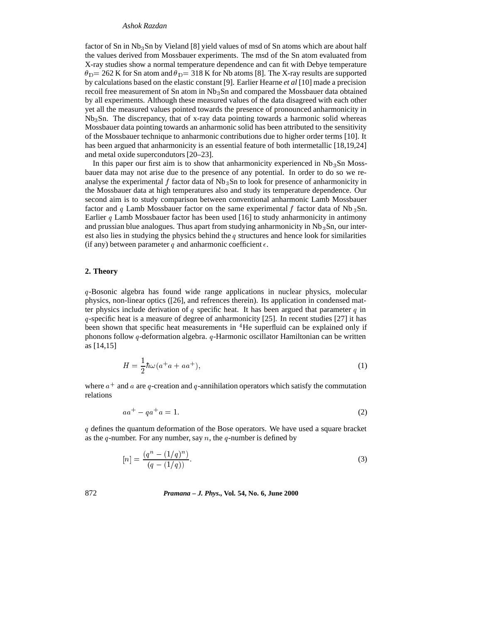#### *Ashok Razdan*

factor of Sn in Nb3Sn by Vieland [8] yield values of msd of Sn atoms which are about half the values derived from Mossbauer experiments. The msd of the Sn atom evaluated from X-ray studies show a normal temperature dependence and can fit with Debye temperature  $\theta_{\rm D}$  = 262 K for Sn atom and  $\theta_{\rm D}$  = 318 K for Nb atoms [8]. The X-ray results are supported by calculations based on the elastic constant [9]. Earlier Hearne *et al* [10] made a precision recoil free measurement of Sn atom in Nb 3Sn and compared the Mossbauer data obtained by all experiments. Although these measured values of the data disagreed with each other yet all the measured values pointed towards the presence of pronounced anharmonicity in  $Nb<sub>3</sub>Sn$ . The discrepancy, that of x-ray data pointing towards a harmonic solid whereas Mossbauer data pointing towards an anharmonic solid has been attributed to the sensitivity of the Mossbauer technique to anharmonic contributions due to higher order terms [10]. It has been argued that anharmonicity is an essential feature of both intermetallic [18,19,24] and metal oxide supercondutors [20–23].

In this paper our first aim is to show that anharmonicity experienced in  $Nb<sub>3</sub>Sn$  Mossbauer data may not arise due to the presence of any potential. In order to do so we reanalyse the experimental  $f$  factor data of  $Nb<sub>3</sub>Sn$  to look for presence of anharmonicity in the Mossbauer data at high temperatures also and study its temperature dependence. Our second aim is to study comparison between conventional anharmonic Lamb Mossbauer factor and q Lamb Mossbauer factor on the same experimental f factor data of Nb  $_3$ Sn. Earlier  $q$  Lamb Mossbauer factor has been used [16] to study anharmonicity in antimony and prussian blue analogues. Thus apart from studying anharmonicity in  $Nb<sub>3</sub>Sn$ , our interest also lies in studying the physics behind the q structures and hence look for similarities (if any) between parameter q and anharmonic coefficient  $\epsilon$ .

## **2. Theory**

<sup>q</sup>-Bosonic algebra has found wide range applications in nuclear physics, molecular physics, non-linear optics ([26], and refrences therein). Its application in condensed matter physics include derivation of q specific heat. It has been argued that parameter q in <sup>q</sup>-specific heat is a measure of degree of anharmonicity [25]. In recent studies [27] it has been shown that specific heat measurements in <sup>4</sup>He superfluid can be explained only if phonons follow <sup>q</sup>-deformation algebra. <sup>q</sup>-Harmonic oscillator Hamiltonian can be written as [14,15]

$$
H = \frac{1}{2}\hbar\omega(a^+a + aa^+),\tag{1}
$$

where  $a^+$  and a are q-creation and q-annihilation operators which satisfy the commutation relations

$$
aa^+ - qa^+a = 1. \tag{2}
$$

<sup>q</sup> defines the quantum deformation of the Bose operators. We have used a square bracket as the q-number. For any number, say  $n$ , the q-number is defined by

$$
[n] = \frac{(q^n - (1/q)^n)}{(q - (1/q))}.
$$
\n(3)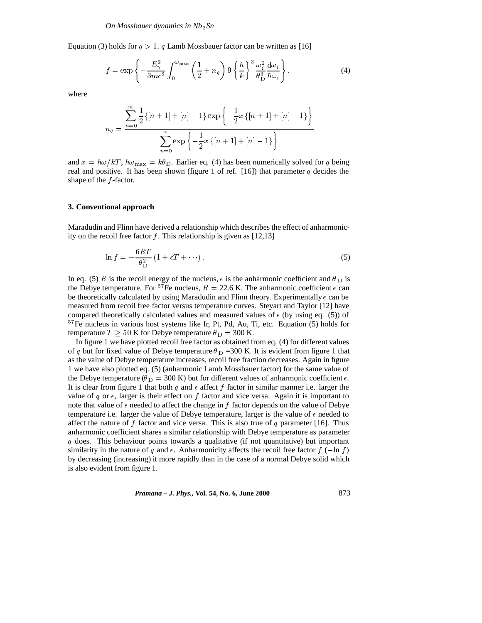Equation (3) holds for  $q > 1$ . q Lamb Mossbauer factor can be written as [16]

$$
f = \exp\left\{-\frac{E_{\gamma}^{2}}{3mc^{2}} \int_{0}^{\omega_{\text{max}}} \left(\frac{1}{2} + n_{q}\right) 9\left\{\frac{\hbar}{k}\right\}^{3} \frac{\omega_{i}^{2}}{\theta_{\text{D}}^{3}} \frac{d\omega_{i}}{\hbar \omega_{i}}\right\},\tag{4}
$$

where

$$
n_q = \frac{\sum_{n=0}^{\infty} \frac{1}{2} \{ [n+1] + [n] - 1 \} \exp \left\{ -\frac{1}{2} x \{ [n+1] + [n] - 1 \} \right\}}{\sum_{n=0}^{\infty} \exp \left\{ -\frac{1}{2} x \{ [n+1] + [n] - 1 \} \right\}}
$$

and  $x = \hbar \omega / kT$ ,  $\hbar \omega_{\text{max}} = k\theta_{\text{D}}$ . Earlier eq. (4) has been numerically solved for q being real and positive. It has been shown (figure 1 of ref. [16]) that parameter q decides the shape of the  $f$ -factor.

## **3. Conventional approach**

Maradudin and Flinn have derived a relationship which describes the effect of anharmonicity on the recoil free factor f. This relationship is given as  $[12,13]$ 

$$
\ln f = -\frac{6RT}{\theta_D^2} \left( 1 + \epsilon T + \cdots \right). \tag{5}
$$

In eq. (5) R is the recoil energy of the nucleus,  $\epsilon$  is the anharmonic coefficient and  $\theta_D$  is the Debye temperature. For <sup>57</sup>Fe nucleus,  $R = 22.6$  K. The anharmonic coefficient  $\epsilon$  can be theoretically calculated by using Maradudin and Flinn theory. Experimentally  $\epsilon$  can be measured from recoil free factor versus temperature curves. Steyart and Taylor [12] have compared theoretically calculated values and measured values of  $\epsilon$  (by using eq. (5)) of  $57$ Fe nucleus in various host systems like Ir, Pt, Pd, Au, Ti, etc. Equation (5) holds for temperature  $T \ge 50$  K for Debye temperature  $\theta_{\rm D} = 300$  K.

In figure 1 we have plotted recoil free factor as obtained from eq. (4) for different values of q but for fixed value of Debye temperature  $\theta_{\rm D}$  =300 K. It is evident from figure 1 that as the value of Debye temperature increases, recoil free fraction decreases. Again in figure 1 we have also plotted eq. (5) (anharmonic Lamb Mossbauer factor) for the same value of the Debye temperature ( $\theta_{\rm D} = 300$  K) but for different values of anharmonic coefficient  $\epsilon$ . It is clear from figure 1 that both  $q$  and  $\epsilon$  affect  $f$  factor in similar manner i.e. larger the value of q or  $\epsilon$ , larger is their effect on f factor and vice versa. Again it is important to note that value of  $\epsilon$  needed to affect the change in f factor depends on the value of Debye temperature i.e. larger the value of Debye temperature, larger is the value of  $\epsilon$  needed to affect the nature of f factor and vice versa. This is also true of q parameter [16]. Thus anharmonic coefficient shares a similar relationship with Debye temperature as parameter  $q$  does. This behaviour points towards a qualitative (if not quantitative) but important similarity in the nature of q and  $\epsilon$ . Anharmonicity affects the recoil free factor  $f$  (-ln f) by decreasing (increasing) it more rapidly than in the case of a normal Debye solid which is also evident from figure 1.

*Pramana – J. Phys.,* **Vol. 54, No. 6, June 2000** 873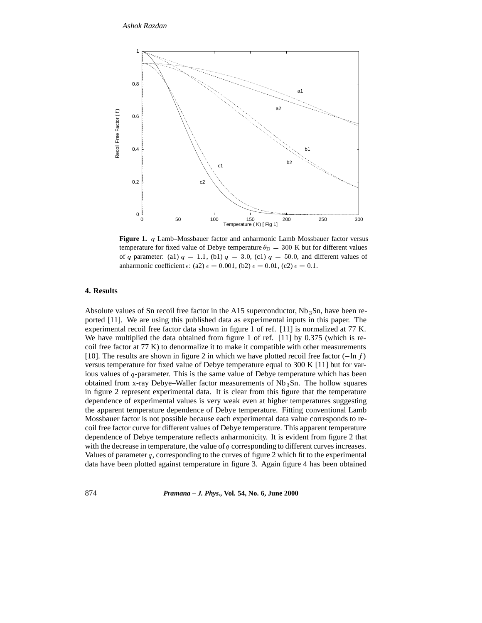

**Figure 1.** <sup>q</sup> Lamb–Mossbauer factor and anharmonic Lamb Mossbauer factor versus temperature for fixed value of Debye temperature  $\theta_{\rm D} = 300$  K but for different values of q parameter: (a1)  $q = 1.1$ , (b1)  $q = 3.0$ , (c1)  $q = 50.0$ , and different values of anharmonic coefficient  $\epsilon$ : (a2)  $\epsilon = 0.001$ , (b2)  $\epsilon = 0.01$ , (c2)  $\epsilon = 0.1$ .

## **4. Results**

Absolute values of Sn recoil free factor in the A15 superconductor,  $Nb<sub>3</sub>Sn$ , have been reported [11]. We are using this published data as experimental inputs in this paper. The experimental recoil free factor data shown in figure 1 of ref. [11] is normalized at 77 K. We have multiplied the data obtained from figure 1 of ref. [11] by 0.375 (which is recoil free factor at 77 K) to denormalize it to make it compatible with other measurements [10]. The results are shown in figure 2 in which we have plotted recoil free factor  $(-\ln f)$ versus temperature for fixed value of Debye temperature equal to 300 K [11] but for various values of  $q$ -parameter. This is the same value of Debye temperature which has been obtained from x-ray Debye–Waller factor measurements of Nb 3Sn. The hollow squares in figure 2 represent experimental data. It is clear from this figure that the temperature dependence of experimental values is very weak even at higher temperatures suggesting the apparent temperature dependence of Debye temperature. Fitting conventional Lamb Mossbauer factor is not possible because each experimental data value corresponds to recoil free factor curve for different values of Debye temperature. This apparent temperature dependence of Debye temperature reflects anharmonicity. It is evident from figure 2 that with the decrease in temperature, the value of  $q$  corresponding to different curves increases. Values of parameter  $q$ , corresponding to the curves of figure 2 which fit to the experimental data have been plotted against temperature in figure 3. Again figure 4 has been obtained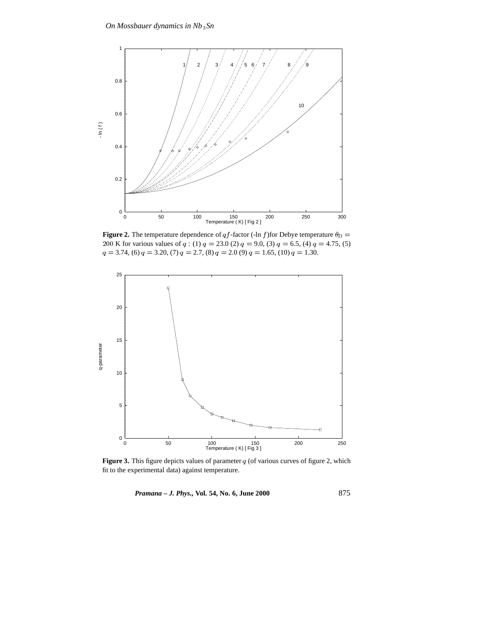

**Figure 2.** The temperature dependence of qf-factor (-ln f) for Debye temperature  $\theta_{\text{D}} =$ 200 K for various values of  $q$  : (1)  $q = 23.0$  (2)  $q = 9.0$ , (3)  $q = 6.5$ , (4)  $q = 4.75$ , (5)  $q = 3.74$ , (6)  $q = 3.20$ , (7)  $q = 2.7$ , (8)  $q = 2.0$  (9)  $q = 1.65$ , (10)  $q = 1.30$ .



**Figure 3.** This figure depicts values of parameter  $q$  (of various curves of figure 2, which fit to the experimental data) against temperature.

*Pramana – J. Phys.,* **Vol. 54, No. 6, June 2000** 875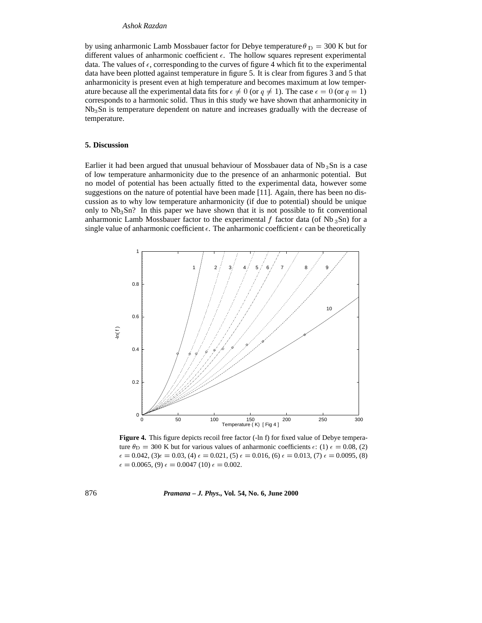# *Ashok Razdan*

by using anharmonic Lamb Mossbauer factor for Debye temperature  $\theta_D = 300$  K but for different values of anharmonic coefficient  $\epsilon$ . The hollow squares represent experimental data. The values of  $\epsilon$ , corresponding to the curves of figure 4 which fit to the experimental data have been plotted against temperature in figure 5. It is clear from figures 3 and 5 that anharmonicity is present even at high temperature and becomes maximum at low temperature because all the experimental data fits for  $\epsilon \neq 0$  (or  $q \neq 1$ ). The case  $\epsilon = 0$  (or  $q = 1$ ) corresponds to a harmonic solid. Thus in this study we have shown that anharmonicity in Nb3Sn is temperature dependent on nature and increases gradually with the decrease of temperature.

## **5. Discussion**

Earlier it had been argued that unusual behaviour of Mossbauer data of  $Nb<sub>3</sub>Sn$  is a case of low temperature anharmonicity due to the presence of an anharmonic potential. But no model of potential has been actually fitted to the experimental data, however some suggestions on the nature of potential have been made [11]. Again, there has been no discussion as to why low temperature anharmonicity (if due to potential) should be unique only to  $Nb<sub>3</sub>Sn$ ? In this paper we have shown that it is not possible to fit conventional anharmonic Lamb Mossbauer factor to the experimental f factor data (of Nb  $_3$ Sn) for a single value of anharmonic coefficient  $\epsilon$ . The anharmonic coefficient  $\epsilon$  can be theoretically



Figure 4. This figure depicts recoil free factor (-ln f) for fixed value of Debye temperature  $\theta_D = 300$  K but for various values of anharmonic coefficients  $\epsilon$ : (1)  $\epsilon = 0.08$ , (2)  $\epsilon = 0.042$ , (3) $\epsilon = 0.03$ , (4)  $\epsilon = 0.021$ , (5)  $\epsilon = 0.016$ , (6)  $\epsilon = 0.013$ , (7)  $\epsilon = 0.0095$ , (8)  $\epsilon = 0.0065$ , (9)  $\epsilon = 0.0047$  (10)  $\epsilon = 0.002$ .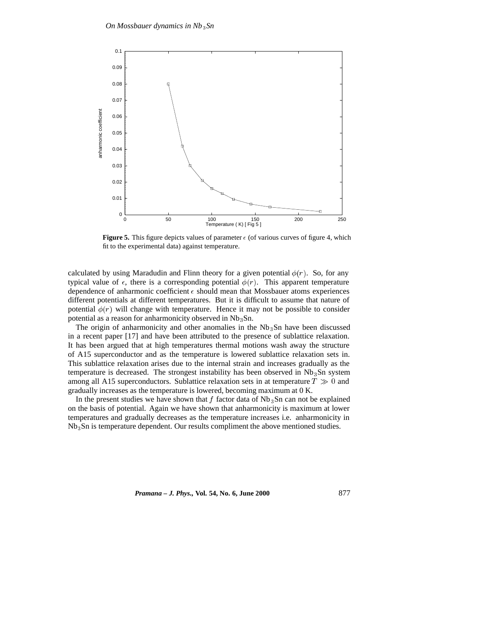

**Figure 5.** This figure depicts values of parameter  $\epsilon$  (of various curves of figure 4, which fit to the experimental data) against temperature.

calculated by using Maradudin and Flinn theory for a given potential  $\phi(r)$ . So, for any typical value of  $\epsilon$ , there is a corresponding potential  $\phi(r)$ . This apparent temperature dependence of anharmonic coefficient  $\epsilon$  should mean that Mossbauer atoms experiences different potentials at different temperatures. But it is difficult to assume that nature of potential  $\phi(r)$  will change with temperature. Hence it may not be possible to consider potential as a reason for anharmonicity observed in Nb<sub>3</sub>Sn.

The origin of anharmonicity and other anomalies in the  $Nb<sub>3</sub>Sn$  have been discussed in a recent paper [17] and have been attributed to the presence of sublattice relaxation. It has been argued that at high temperatures thermal motions wash away the structure of A15 superconductor and as the temperature is lowered sublattice relaxation sets in. This sublattice relaxation arises due to the internal strain and increases gradually as the temperature is decreased. The strongest instability has been observed in  $Nb<sub>3</sub>Sn$  system among all A15 superconductors. Sublattice relaxation sets in at temperature  $T \gg 0$  and gradually increases as the temperature is lowered, becoming maximum at 0 K.

In the present studies we have shown that  $f$  factor data of  $Nb<sub>3</sub>Sn$  can not be explained on the basis of potential. Again we have shown that anharmonicity is maximum at lower temperatures and gradually decreases as the temperature increases i.e. anharmonicity in Nb3Sn is temperature dependent. Our results compliment the above mentioned studies.